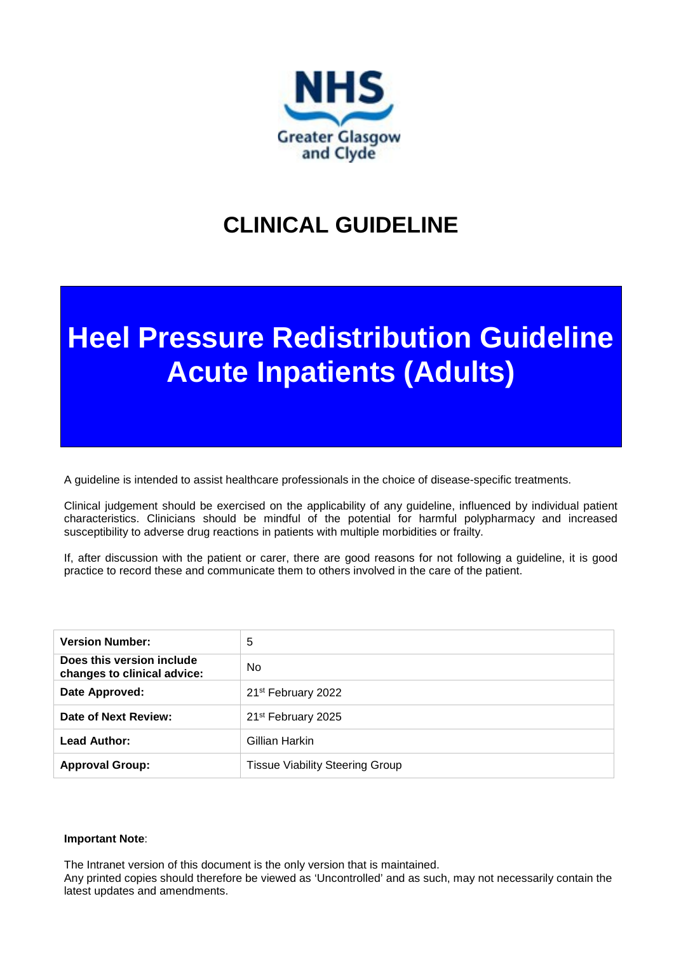

# **CLINICAL GUIDELINE**

# **Heel Pressure Redistribution Guideline Acute Inpatients (Adults)**

A guideline is intended to assist healthcare professionals in the choice of disease-specific treatments.

Clinical judgement should be exercised on the applicability of any guideline, influenced by individual patient characteristics. Clinicians should be mindful of the potential for harmful polypharmacy and increased susceptibility to adverse drug reactions in patients with multiple morbidities or frailty.

If, after discussion with the patient or carer, there are good reasons for not following a guideline, it is good practice to record these and communicate them to others involved in the care of the patient.

| <b>Version Number:</b>                                   | 5                                      |
|----------------------------------------------------------|----------------------------------------|
| Does this version include<br>changes to clinical advice: | No.                                    |
| Date Approved:                                           | 21 <sup>st</sup> February 2022         |
| Date of Next Review:                                     | 21 <sup>st</sup> February 2025         |
| Lead Author:                                             | Gillian Harkin                         |
| <b>Approval Group:</b>                                   | <b>Tissue Viability Steering Group</b> |

#### **Important Note**:

The Intranet version of this document is the only version that is maintained.

Any printed copies should therefore be viewed as 'Uncontrolled' and as such, may not necessarily contain the latest updates and amendments.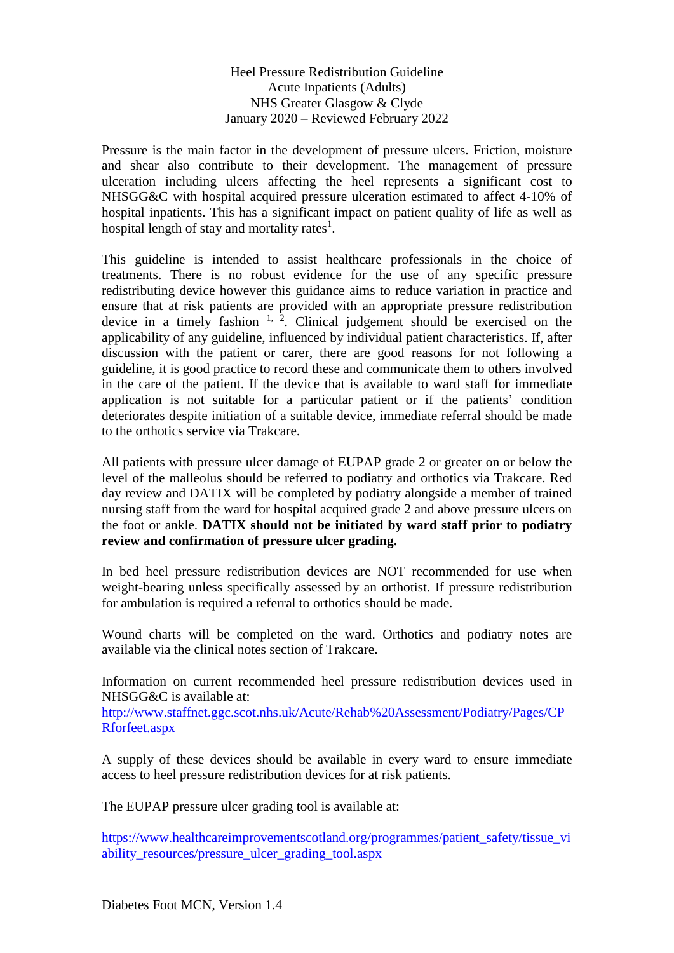### Heel Pressure Redistribution Guideline Acute Inpatients (Adults) NHS Greater Glasgow & Clyde January 2020 – Reviewed February 2022

Pressure is the main factor in the development of pressure ulcers. Friction, moisture and shear also contribute to their development. The management of pressure ulceration including ulcers affecting the heel represents a significant cost to NHSGG&C with hospital acquired pressure ulceration estimated to affect 4-10% of hospital inpatients. This has a significant impact on patient quality of life as well as hospital length of stay and mortality rates $^1$ .

This guideline is intended to assist healthcare professionals in the choice of treatments. There is no robust evidence for the use of any specific pressure redistributing device however this guidance aims to reduce variation in practice and ensure that at risk patients are provided with an appropriate pressure redistribution device in a timely fashion  $1, 2$ . Clinical judgement should be exercised on the applicability of any guideline, influenced by individual patient characteristics. If, after discussion with the patient or carer, there are good reasons for not following a guideline, it is good practice to record these and communicate them to others involved in the care of the patient. If the device that is available to ward staff for immediate application is not suitable for a particular patient or if the patients' condition deteriorates despite initiation of a suitable device, immediate referral should be made to the orthotics service via Trakcare.

All patients with pressure ulcer damage of EUPAP grade 2 or greater on or below the level of the malleolus should be referred to podiatry and orthotics via Trakcare. Red day review and DATIX will be completed by podiatry alongside a member of trained nursing staff from the ward for hospital acquired grade 2 and above pressure ulcers on the foot or ankle. **DATIX should not be initiated by ward staff prior to podiatry review and confirmation of pressure ulcer grading.**

In bed heel pressure redistribution devices are NOT recommended for use when weight-bearing unless specifically assessed by an orthotist. If pressure redistribution for ambulation is required a referral to orthotics should be made.

Wound charts will be completed on the ward. Orthotics and podiatry notes are available via the clinical notes section of Trakcare.

Information on current recommended heel pressure redistribution devices used in NHSGG&C is available at:

[http://www.staffnet.ggc.scot.nhs.uk/Acute/Rehab%20Assessment/Podiatry/Pages/CP](http://www.staffnet.ggc.scot.nhs.uk/Acute/Rehab%20Assessment/Podiatry/Pages/CPRforfeet.aspx) [Rforfeet.aspx](http://www.staffnet.ggc.scot.nhs.uk/Acute/Rehab%20Assessment/Podiatry/Pages/CPRforfeet.aspx)

A supply of these devices should be available in every ward to ensure immediate access to heel pressure redistribution devices for at risk patients.

The EUPAP pressure ulcer grading tool is available at:

[https://www.healthcareimprovementscotland.org/programmes/patient\\_safety/tissue\\_vi](https://www.healthcareimprovementscotland.org/programmes/patient_safety/tissue_viability_resources/pressure_ulcer_grading_tool.aspx) ability resources/pressure ulcer grading tool.aspx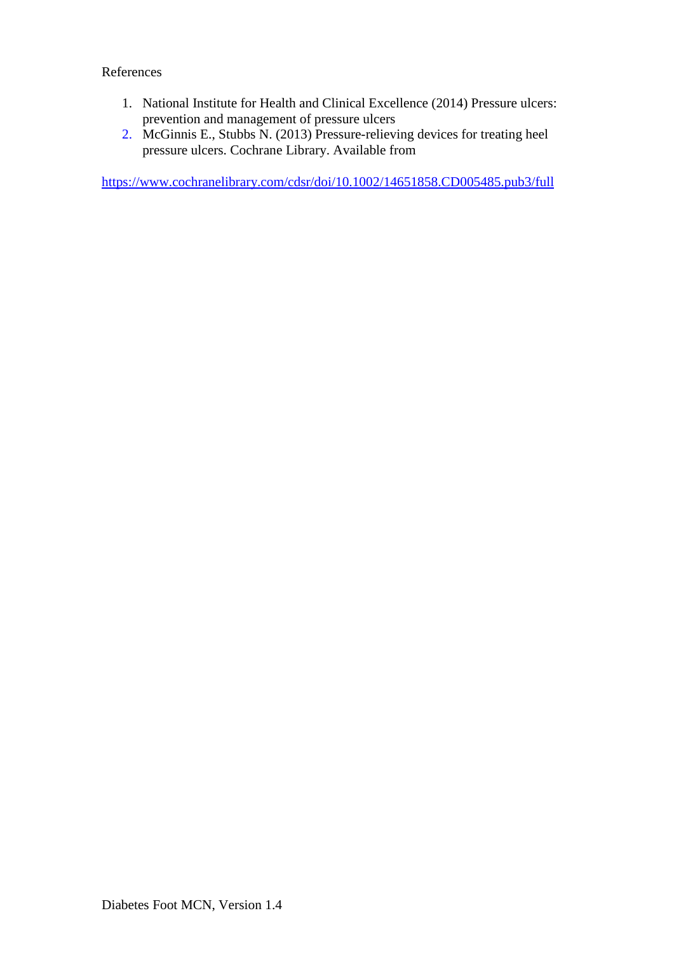## References

- 1. National Institute for Health and Clinical Excellence (2014) Pressure ulcers: prevention and management of pressure ulcers
- 2. McGinnis E., Stubbs N. (2013) Pressure-relieving devices for treating heel pressure ulcers. Cochrane Library. Available from

<https://www.cochranelibrary.com/cdsr/doi/10.1002/14651858.CD005485.pub3/full>